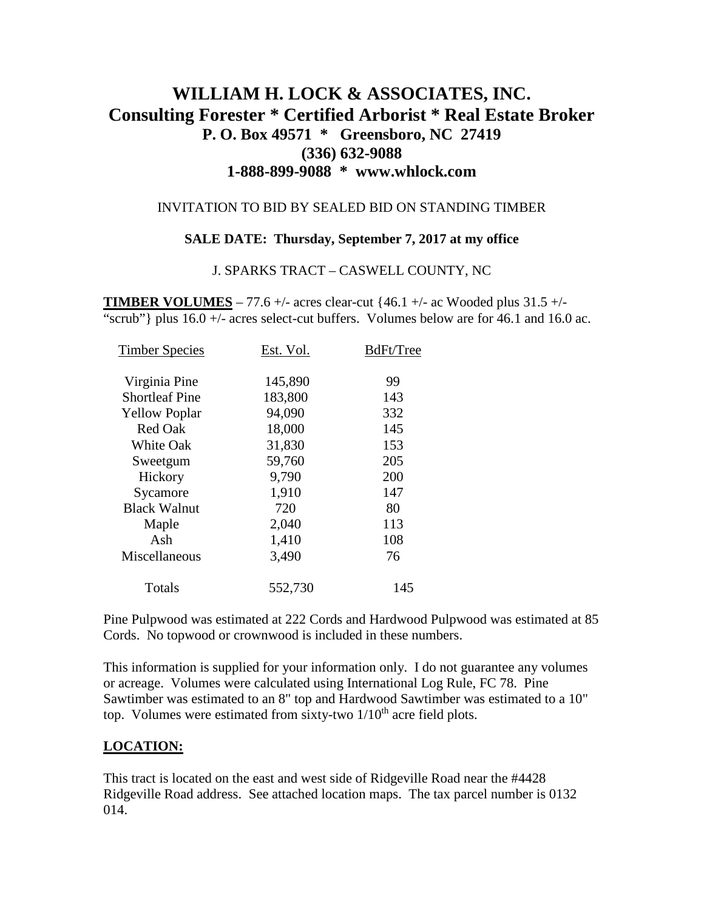# **WILLIAM H. LOCK & ASSOCIATES, INC. Consulting Forester \* Certified Arborist \* Real Estate Broker P. O. Box 49571 \* Greensboro, NC 27419 (336) 632-9088 1-888-899-9088 \* www.whlock.com**

### INVITATION TO BID BY SEALED BID ON STANDING TIMBER

### **SALE DATE: Thursday, September 7, 2017 at my office**

#### J. SPARKS TRACT – CASWELL COUNTY, NC

**TIMBER VOLUMES** – 77.6 +/- acres clear-cut  $\{46.1 +$ /- ac Wooded plus 31.5 +/-"scrub"} plus  $16.0 +/-$  acres select-cut buffers. Volumes below are for 46.1 and 16.0 ac.

| Est. Vol. | BdFt/Tree |
|-----------|-----------|
| 145,890   | 99        |
| 183,800   | 143       |
| 94,090    | 332       |
| 18,000    | 145       |
| 31,830    | 153       |
| 59,760    | 205       |
| 9,790     | 200       |
| 1,910     | 147       |
| 720       | 80        |
| 2,040     | 113       |
| 1,410     | 108       |
| 3,490     | 76        |
| 552,730   | 145       |
|           |           |

Pine Pulpwood was estimated at 222 Cords and Hardwood Pulpwood was estimated at 85 Cords. No topwood or crownwood is included in these numbers.

This information is supplied for your information only. I do not guarantee any volumes or acreage. Volumes were calculated using International Log Rule, FC 78. Pine Sawtimber was estimated to an 8" top and Hardwood Sawtimber was estimated to a 10" top. Volumes were estimated from sixty-two  $1/10<sup>th</sup>$  acre field plots.

### **LOCATION:**

This tract is located on the east and west side of Ridgeville Road near the #4428 Ridgeville Road address. See attached location maps. The tax parcel number is 0132 014.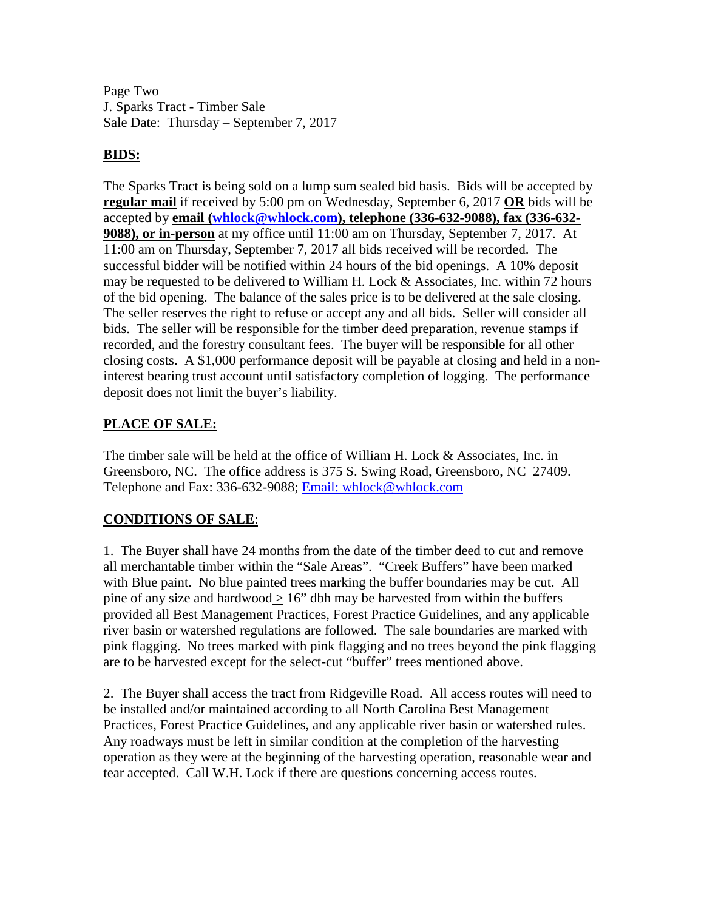Page Two J. Sparks Tract - Timber Sale Sale Date: Thursday – September 7, 2017

## **BIDS:**

The Sparks Tract is being sold on a lump sum sealed bid basis. Bids will be accepted by **regular mail** if received by 5:00 pm on Wednesday, September 6, 2017 **OR** bids will be accepted by **email [\(whlock@whlock.com\)](mailto:whlock@whlock.com), telephone (336-632-9088), fax (336-632- 9088), or in-person** at my office until 11:00 am on Thursday, September 7, 2017. At 11:00 am on Thursday, September 7, 2017 all bids received will be recorded. The successful bidder will be notified within 24 hours of the bid openings. A 10% deposit may be requested to be delivered to William H. Lock & Associates, Inc. within 72 hours of the bid opening. The balance of the sales price is to be delivered at the sale closing. The seller reserves the right to refuse or accept any and all bids. Seller will consider all bids. The seller will be responsible for the timber deed preparation, revenue stamps if recorded, and the forestry consultant fees. The buyer will be responsible for all other closing costs. A \$1,000 performance deposit will be payable at closing and held in a noninterest bearing trust account until satisfactory completion of logging. The performance deposit does not limit the buyer's liability.

# **PLACE OF SALE:**

The timber sale will be held at the office of William H. Lock & Associates, Inc. in Greensboro, NC. The office address is 375 S. Swing Road, Greensboro, NC 27409. Telephone and Fax: 336-632-9088; [Email: whlock@whlock.com](mailto:Email:%20whlock@whlock.com) 

# **CONDITIONS OF SALE**:

1. The Buyer shall have 24 months from the date of the timber deed to cut and remove all merchantable timber within the "Sale Areas". "Creek Buffers" have been marked with Blue paint. No blue painted trees marking the buffer boundaries may be cut. All pine of any size and hardwood  $> 16$ " dbh may be harvested from within the buffers provided all Best Management Practices, Forest Practice Guidelines, and any applicable river basin or watershed regulations are followed. The sale boundaries are marked with pink flagging. No trees marked with pink flagging and no trees beyond the pink flagging are to be harvested except for the select-cut "buffer" trees mentioned above.

2. The Buyer shall access the tract from Ridgeville Road. All access routes will need to be installed and/or maintained according to all North Carolina Best Management Practices, Forest Practice Guidelines, and any applicable river basin or watershed rules. Any roadways must be left in similar condition at the completion of the harvesting operation as they were at the beginning of the harvesting operation, reasonable wear and tear accepted. Call W.H. Lock if there are questions concerning access routes.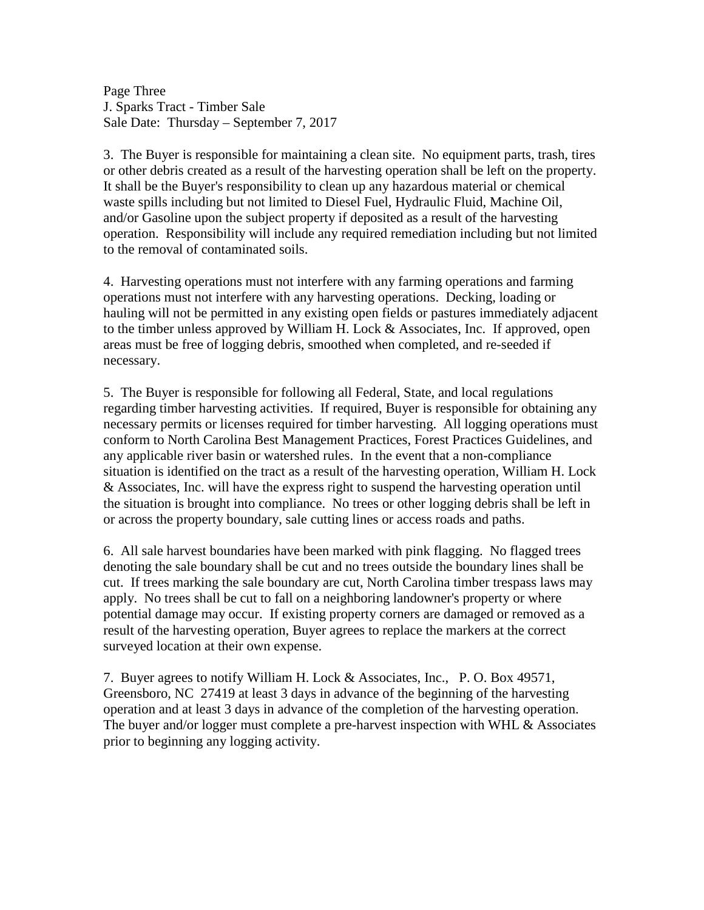Page Three J. Sparks Tract - Timber Sale Sale Date: Thursday – September 7, 2017

3. The Buyer is responsible for maintaining a clean site. No equipment parts, trash, tires or other debris created as a result of the harvesting operation shall be left on the property. It shall be the Buyer's responsibility to clean up any hazardous material or chemical waste spills including but not limited to Diesel Fuel, Hydraulic Fluid, Machine Oil, and/or Gasoline upon the subject property if deposited as a result of the harvesting operation. Responsibility will include any required remediation including but not limited to the removal of contaminated soils.

4. Harvesting operations must not interfere with any farming operations and farming operations must not interfere with any harvesting operations. Decking, loading or hauling will not be permitted in any existing open fields or pastures immediately adjacent to the timber unless approved by William H. Lock & Associates, Inc. If approved, open areas must be free of logging debris, smoothed when completed, and re-seeded if necessary.

5. The Buyer is responsible for following all Federal, State, and local regulations regarding timber harvesting activities. If required, Buyer is responsible for obtaining any necessary permits or licenses required for timber harvesting. All logging operations must conform to North Carolina Best Management Practices, Forest Practices Guidelines, and any applicable river basin or watershed rules. In the event that a non-compliance situation is identified on the tract as a result of the harvesting operation, William H. Lock & Associates, Inc. will have the express right to suspend the harvesting operation until the situation is brought into compliance. No trees or other logging debris shall be left in or across the property boundary, sale cutting lines or access roads and paths.

6. All sale harvest boundaries have been marked with pink flagging. No flagged trees denoting the sale boundary shall be cut and no trees outside the boundary lines shall be cut. If trees marking the sale boundary are cut, North Carolina timber trespass laws may apply. No trees shall be cut to fall on a neighboring landowner's property or where potential damage may occur. If existing property corners are damaged or removed as a result of the harvesting operation, Buyer agrees to replace the markers at the correct surveyed location at their own expense.

7. Buyer agrees to notify William H. Lock & Associates, Inc., P. O. Box 49571, Greensboro, NC 27419 at least 3 days in advance of the beginning of the harvesting operation and at least 3 days in advance of the completion of the harvesting operation. The buyer and/or logger must complete a pre-harvest inspection with WHL  $\&$  Associates prior to beginning any logging activity.